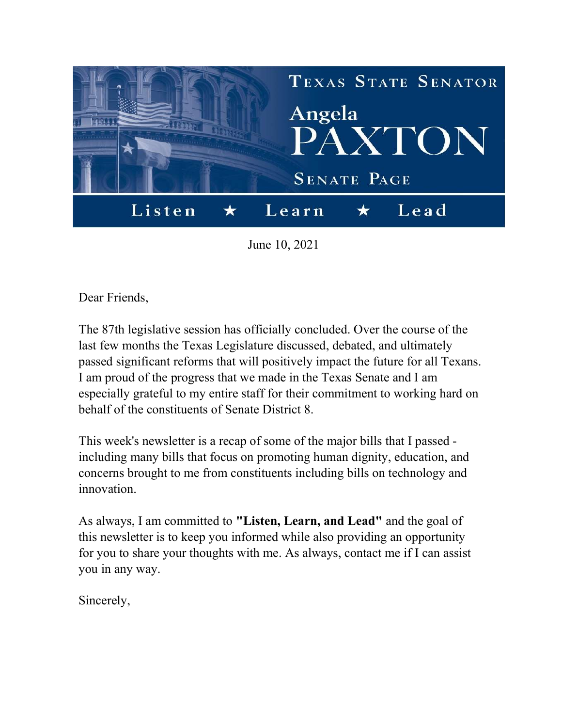

June 10, 2021

Dear Friends,

The 87th legislative session has officially concluded. Over the course of the last few months the Texas Legislature discussed, debated, and ultimately passed significant reforms that will positively impact the future for all Texans. I am proud of the progress that we made in the Texas Senate and I am especially grateful to my entire staff for their commitment to working hard on behalf of the constituents of Senate District 8.

This week's newsletter is a recap of some of the major bills that I passed including many bills that focus on promoting human dignity, education, and concerns brought to me from constituents including bills on technology and innovation.

As always, I am committed to "Listen, Learn, and Lead" and the goal of this newsletter is to keep you informed while also providing an opportunity for you to share your thoughts with me. As always, contact me if I can assist you in any way.

Sincerely,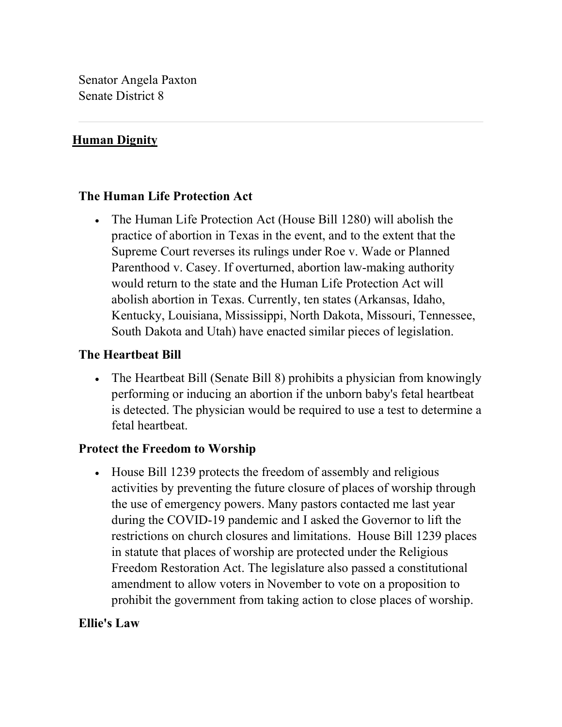Senator Angela Paxton Senate District 8

### Human Dignity

### The Human Life Protection Act

 The Human Life Protection Act (House Bill 1280) will abolish the practice of abortion in Texas in the event, and to the extent that the Supreme Court reverses its rulings under Roe v. Wade or Planned Parenthood v. Casey. If overturned, abortion law-making authority would return to the state and the Human Life Protection Act will abolish abortion in Texas. Currently, ten states (Arkansas, Idaho, Kentucky, Louisiana, Mississippi, North Dakota, Missouri, Tennessee, South Dakota and Utah) have enacted similar pieces of legislation.

#### The Heartbeat Bill

 The Heartbeat Bill (Senate Bill 8) prohibits a physician from knowingly performing or inducing an abortion if the unborn baby's fetal heartbeat is detected. The physician would be required to use a test to determine a fetal heartbeat.

#### Protect the Freedom to Worship

• House Bill 1239 protects the freedom of assembly and religious activities by preventing the future closure of places of worship through the use of emergency powers. Many pastors contacted me last year during the COVID-19 pandemic and I asked the Governor to lift the restrictions on church closures and limitations. House Bill 1239 places in statute that places of worship are protected under the Religious Freedom Restoration Act. The legislature also passed a constitutional amendment to allow voters in November to vote on a proposition to prohibit the government from taking action to close places of worship.

#### Ellie's Law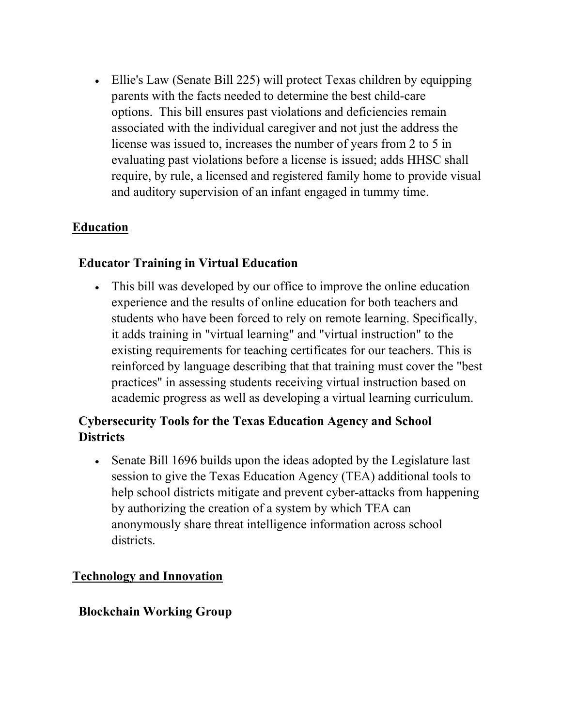Ellie's Law (Senate Bill 225) will protect Texas children by equipping parents with the facts needed to determine the best child-care options. This bill ensures past violations and deficiencies remain associated with the individual caregiver and not just the address the license was issued to, increases the number of years from 2 to 5 in evaluating past violations before a license is issued; adds HHSC shall require, by rule, a licensed and registered family home to provide visual and auditory supervision of an infant engaged in tummy time.

# Education

### Educator Training in Virtual Education

 This bill was developed by our office to improve the online education experience and the results of online education for both teachers and students who have been forced to rely on remote learning. Specifically, it adds training in "virtual learning" and "virtual instruction" to the existing requirements for teaching certificates for our teachers. This is reinforced by language describing that that training must cover the "best practices" in assessing students receiving virtual instruction based on academic progress as well as developing a virtual learning curriculum.

# Cybersecurity Tools for the Texas Education Agency and School **Districts**

• Senate Bill 1696 builds upon the ideas adopted by the Legislature last session to give the Texas Education Agency (TEA) additional tools to help school districts mitigate and prevent cyber-attacks from happening by authorizing the creation of a system by which TEA can anonymously share threat intelligence information across school districts.

### Technology and Innovation

#### Blockchain Working Group